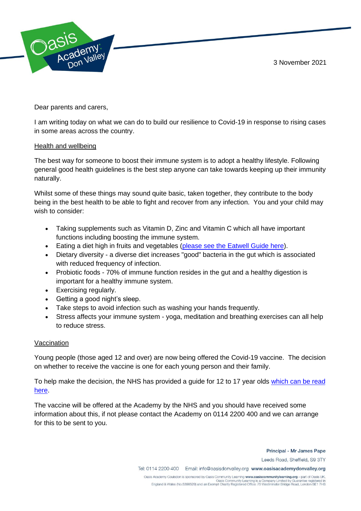3 November 2021



Dear parents and carers,

I am writing today on what we can do to build our resilience to Covid-19 in response to rising cases in some areas across the country.

## Health and wellbeing

The best way for someone to boost their immune system is to adopt a healthy lifestyle. Following general good health guidelines is the best step anyone can take towards keeping up their immunity naturally.

Whilst some of these things may sound quite basic, taken together, they contribute to the body being in the best health to be able to fight and recover from any infection. You and your child may wish to consider:

- Taking supplements such as Vitamin D, Zinc and Vitamin C which all have important functions including boosting the immune system.
- Eating a diet high in fruits and vegetables [\(please see the Eatwell Guide here\)](https://assets.publishing.service.gov.uk/government/uploads/system/uploads/attachment_data/file/528193/Eatwell_guide_colour.pdf).
- Dietary diversity a diverse diet increases "good" bacteria in the gut which is associated with reduced frequency of infection.
- Probiotic foods 70% of immune function resides in the gut and a healthy digestion is important for a healthy immune system.
- Exercising regularly.
- Getting a good night's sleep.
- Take steps to avoid infection such as washing your hands frequently.
- Stress affects your immune system yoga, meditation and breathing exercises can all help to reduce stress.

## Vaccination

Young people (those aged 12 and over) are now being offered the Covid-19 vaccine. The decision on whether to receive the vaccine is one for each young person and their family.

To help make the decision, the NHS has provided a guide for 12 to 17 year olds [which can be read](https://assets.publishing.service.gov.uk/government/uploads/system/uploads/attachment_data/file/1023484/UKHSA_12073_COVID-19_Guide_for_all_CYP_12_to_17_leaflet.pdf)  [here.](https://assets.publishing.service.gov.uk/government/uploads/system/uploads/attachment_data/file/1023484/UKHSA_12073_COVID-19_Guide_for_all_CYP_12_to_17_leaflet.pdf)

The vaccine will be offered at the Academy by the NHS and you should have received some information about this, if not please contact the Academy on 0114 2200 400 and we can arrange for this to be sent to you.

Principal - Mr James Pape

Leeds Road, Sheffield, S9 3TY

Tel: 0114 2200 400 Email: info@oasisdonvalley.org www.oasisacademydonvalley.org

Oasis Academy Coulsdon is sponsored by Oasis Community Learning www.oasiscommunitylearning.org - part of Oasis UK. Oasis Community Learning is a Company Limited by Guarantee registered in<br>England & Wales (No.5398529) and an Exempt Charity Registered Office: 75 Westminster Bridge Road, London SE1 7HS